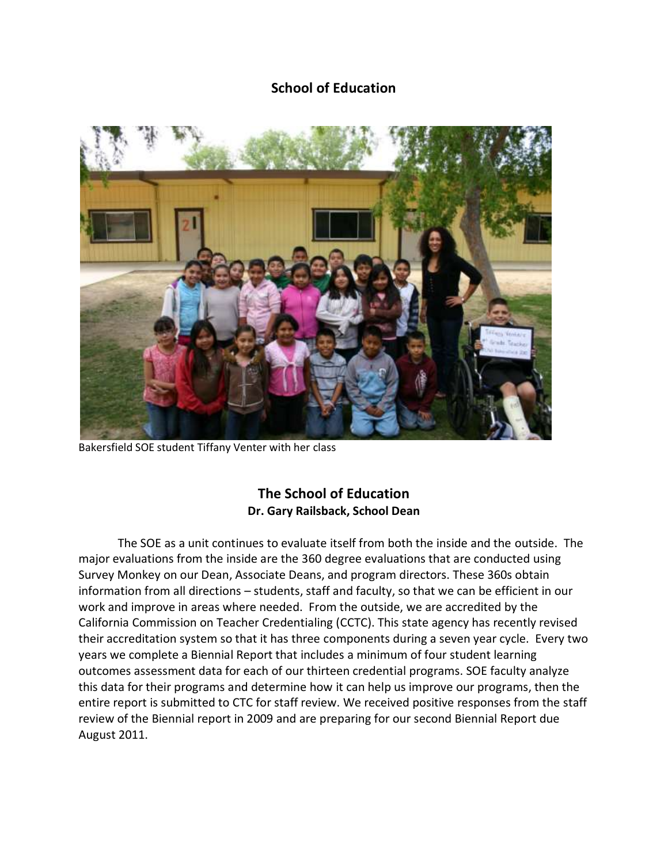# **School of Education**



Bakersfield SOE student Tiffany Venter with her class

# **The School of Education Dr. Gary Railsback, School Dean**

The SOE as a unit continues to evaluate itself from both the inside and the outside. The major evaluations from the inside are the 360 degree evaluations that are conducted using Survey Monkey on our Dean, Associate Deans, and program directors. These 360s obtain information from all directions – students, staff and faculty, so that we can be efficient in our work and improve in areas where needed. From the outside, we are accredited by the California Commission on Teacher Credentialing (CCTC). This state agency has recently revised their accreditation system so that it has three components during a seven year cycle. Every two years we complete a Biennial Report that includes a minimum of four student learning outcomes assessment data for each of our thirteen credential programs. SOE faculty analyze this data for their programs and determine how it can help us improve our programs, then the entire report is submitted to CTC for staff review. We received positive responses from the staff review of the Biennial report in 2009 and are preparing for our second Biennial Report due August 2011.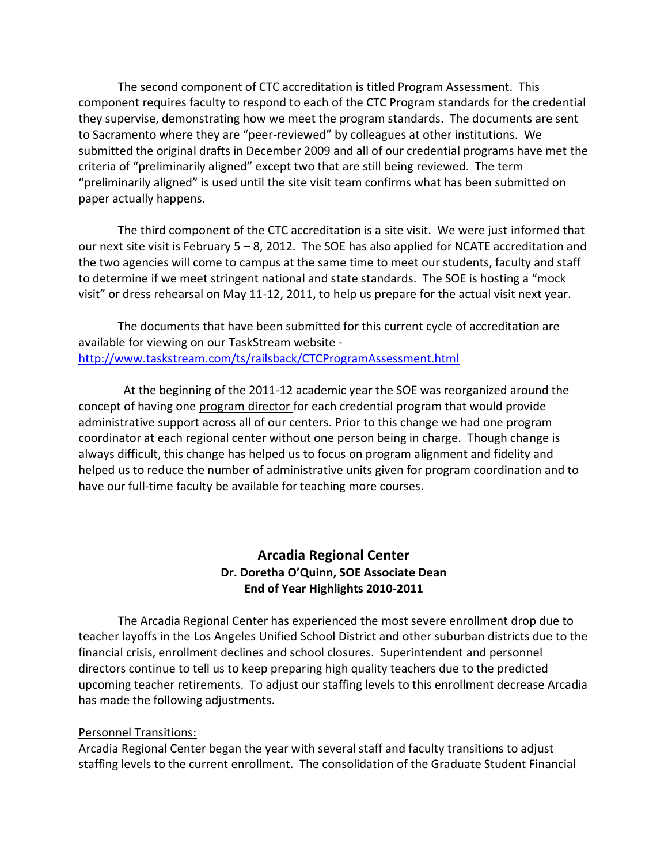The second component of CTC accreditation is titled Program Assessment. This component requires faculty to respond to each of the CTC Program standards for the credential they supervise, demonstrating how we meet the program standards. The documents are sent to Sacramento where they are "peer-reviewed" by colleagues at other institutions. We submitted the original drafts in December 2009 and all of our credential programs have met the criteria of "preliminarily aligned" except two that are still being reviewed. The term "preliminarily aligned" is used until the site visit team confirms what has been submitted on paper actually happens.

The third component of the CTC accreditation is a site visit. We were just informed that our next site visit is February 5 – 8, 2012. The SOE has also applied for NCATE accreditation and the two agencies will come to campus at the same time to meet our students, faculty and staff to determine if we meet stringent national and state standards. The SOE is hosting a "mock visit" or dress rehearsal on May 11-12, 2011, to help us prepare for the actual visit next year.

The documents that have been submitted for this current cycle of accreditation are available for viewing on our TaskStream website <http://www.taskstream.com/ts/railsback/CTCProgramAssessment.html>

 At the beginning of the 2011-12 academic year the SOE was reorganized around the concept of having one program director for each credential program that would provide administrative support across all of our centers. Prior to this change we had one program coordinator at each regional center without one person being in charge. Though change is always difficult, this change has helped us to focus on program alignment and fidelity and helped us to reduce the number of administrative units given for program coordination and to have our full-time faculty be available for teaching more courses.

## **Arcadia Regional Center Dr. Doretha O'Quinn, SOE Associate Dean End of Year Highlights 2010-2011**

The Arcadia Regional Center has experienced the most severe enrollment drop due to teacher layoffs in the Los Angeles Unified School District and other suburban districts due to the financial crisis, enrollment declines and school closures. Superintendent and personnel directors continue to tell us to keep preparing high quality teachers due to the predicted upcoming teacher retirements. To adjust our staffing levels to this enrollment decrease Arcadia has made the following adjustments.

#### Personnel Transitions:

Arcadia Regional Center began the year with several staff and faculty transitions to adjust staffing levels to the current enrollment. The consolidation of the Graduate Student Financial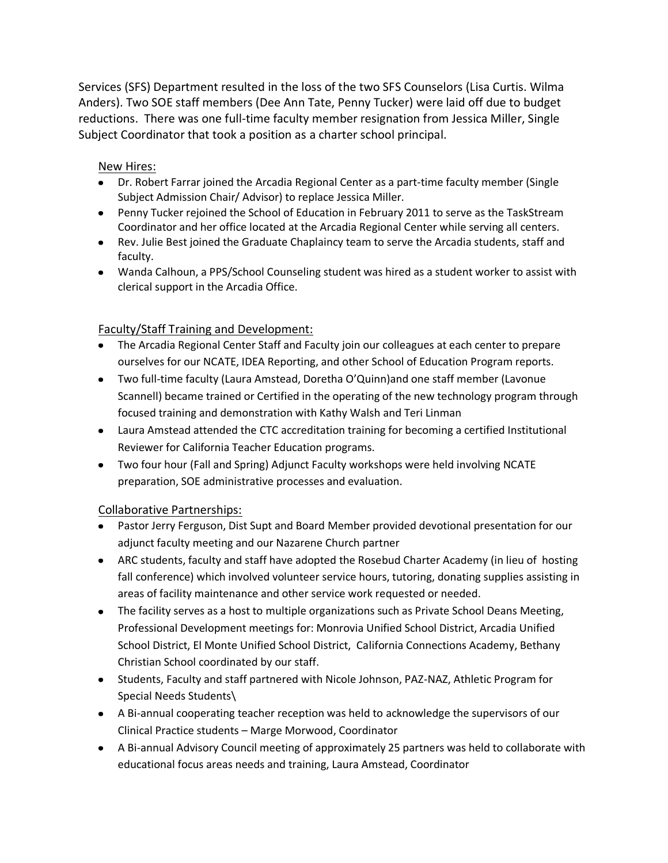Services (SFS) Department resulted in the loss of the two SFS Counselors (Lisa Curtis. Wilma Anders). Two SOE staff members (Dee Ann Tate, Penny Tucker) were laid off due to budget reductions. There was one full-time faculty member resignation from Jessica Miller, Single Subject Coordinator that took a position as a charter school principal.

#### New Hires:

- Dr. Robert Farrar joined the Arcadia Regional Center as a part-time faculty member (Single Subject Admission Chair/ Advisor) to replace Jessica Miller.
- Penny Tucker rejoined the School of Education in February 2011 to serve as the TaskStream Coordinator and her office located at the Arcadia Regional Center while serving all centers.
- Rev. Julie Best joined the Graduate Chaplaincy team to serve the Arcadia students, staff and faculty.
- Wanda Calhoun, a PPS/School Counseling student was hired as a student worker to assist with clerical support in the Arcadia Office.

### Faculty/Staff Training and Development:

- The Arcadia Regional Center Staff and Faculty join our colleagues at each center to prepare ourselves for our NCATE, IDEA Reporting, and other School of Education Program reports.
- Two full-time faculty (Laura Amstead, Doretha O'Quinn)and one staff member (Lavonue Scannell) became trained or Certified in the operating of the new technology program through focused training and demonstration with Kathy Walsh and Teri Linman
- Laura Amstead attended the CTC accreditation training for becoming a certified Institutional Reviewer for California Teacher Education programs.
- Two four hour (Fall and Spring) Adjunct Faculty workshops were held involving NCATE preparation, SOE administrative processes and evaluation.

### Collaborative Partnerships:

- Pastor Jerry Ferguson, Dist Supt and Board Member provided devotional presentation for our adjunct faculty meeting and our Nazarene Church partner
- ARC students, faculty and staff have adopted the Rosebud Charter Academy (in lieu of hosting fall conference) which involved volunteer service hours, tutoring, donating supplies assisting in areas of facility maintenance and other service work requested or needed.
- The facility serves as a host to multiple organizations such as Private School Deans Meeting, Professional Development meetings for: Monrovia Unified School District, Arcadia Unified School District, El Monte Unified School District, California Connections Academy, Bethany Christian School coordinated by our staff.
- Students, Faculty and staff partnered with Nicole Johnson, PAZ-NAZ, Athletic Program for Special Needs Students\
- A Bi-annual cooperating teacher reception was held to acknowledge the supervisors of our Clinical Practice students – Marge Morwood, Coordinator
- A Bi-annual Advisory Council meeting of approximately 25 partners was held to collaborate with educational focus areas needs and training, Laura Amstead, Coordinator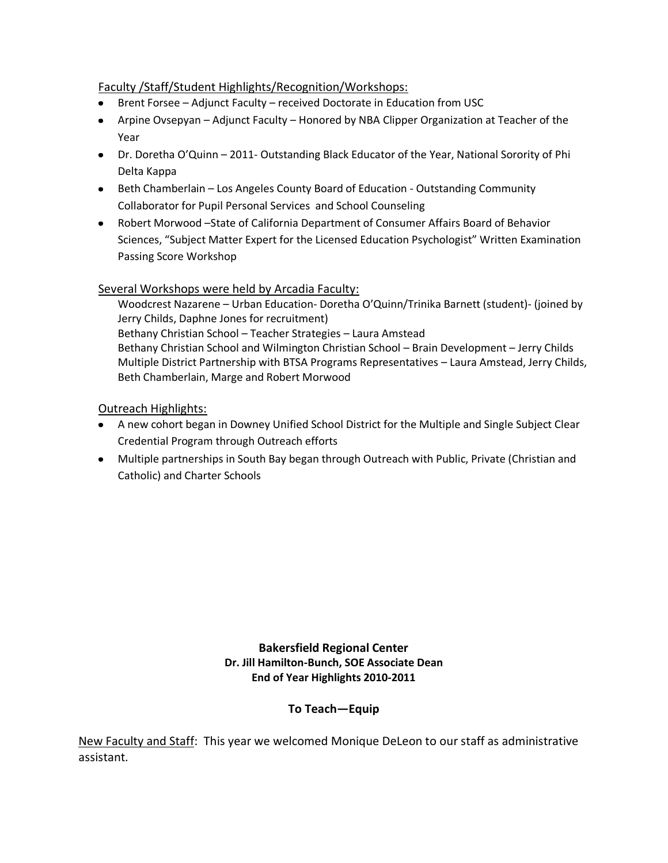#### Faculty /Staff/Student Highlights/Recognition/Workshops:

- Brent Forsee Adjunct Faculty received Doctorate in Education from USC
- Arpine Ovsepyan Adjunct Faculty Honored by NBA Clipper Organization at Teacher of the Year
- Dr. Doretha O'Quinn 2011- Outstanding Black Educator of the Year, National Sorority of Phi Delta Kappa
- Beth Chamberlain Los Angeles County Board of Education Outstanding Community Collaborator for Pupil Personal Services and School Counseling
- Robert Morwood –State of California Department of Consumer Affairs Board of Behavior Sciences, "Subject Matter Expert for the Licensed Education Psychologist" Written Examination Passing Score Workshop

Several Workshops were held by Arcadia Faculty:

Woodcrest Nazarene – Urban Education- Doretha O'Quinn/Trinika Barnett (student)- (joined by Jerry Childs, Daphne Jones for recruitment) Bethany Christian School – Teacher Strategies – Laura Amstead Bethany Christian School and Wilmington Christian School – Brain Development – Jerry Childs Multiple District Partnership with BTSA Programs Representatives – Laura Amstead, Jerry Childs, Beth Chamberlain, Marge and Robert Morwood

Outreach Highlights:

- A new cohort began in Downey Unified School District for the Multiple and Single Subject Clear Credential Program through Outreach efforts
- Multiple partnerships in South Bay began through Outreach with Public, Private (Christian and Catholic) and Charter Schools

**Bakersfield Regional Center Dr. Jill Hamilton-Bunch, SOE Associate Dean End of Year Highlights 2010-2011**

### **To Teach—Equip**

New Faculty and Staff: This year we welcomed Monique DeLeon to our staff as administrative assistant.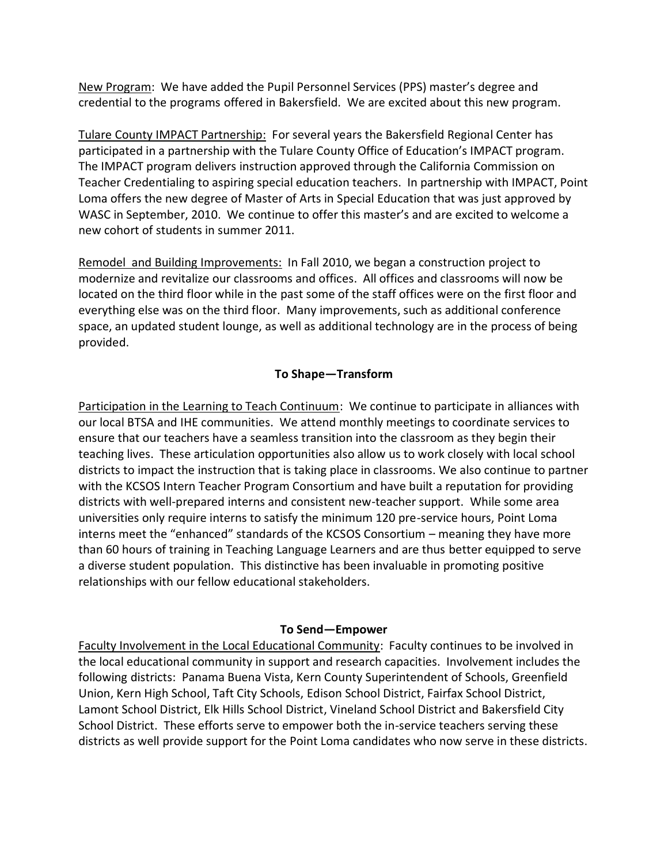New Program: We have added the Pupil Personnel Services (PPS) master's degree and credential to the programs offered in Bakersfield. We are excited about this new program.

Tulare County IMPACT Partnership: For several years the Bakersfield Regional Center has participated in a partnership with the Tulare County Office of Education's IMPACT program. The IMPACT program delivers instruction approved through the California Commission on Teacher Credentialing to aspiring special education teachers. In partnership with IMPACT, Point Loma offers the new degree of Master of Arts in Special Education that was just approved by WASC in September, 2010. We continue to offer this master's and are excited to welcome a new cohort of students in summer 2011.

Remodel and Building Improvements: In Fall 2010, we began a construction project to modernize and revitalize our classrooms and offices. All offices and classrooms will now be located on the third floor while in the past some of the staff offices were on the first floor and everything else was on the third floor. Many improvements, such as additional conference space, an updated student lounge, as well as additional technology are in the process of being provided.

### **To Shape—Transform**

Participation in the Learning to Teach Continuum: We continue to participate in alliances with our local BTSA and IHE communities. We attend monthly meetings to coordinate services to ensure that our teachers have a seamless transition into the classroom as they begin their teaching lives. These articulation opportunities also allow us to work closely with local school districts to impact the instruction that is taking place in classrooms. We also continue to partner with the KCSOS Intern Teacher Program Consortium and have built a reputation for providing districts with well-prepared interns and consistent new-teacher support. While some area universities only require interns to satisfy the minimum 120 pre-service hours, Point Loma interns meet the "enhanced" standards of the KCSOS Consortium – meaning they have more than 60 hours of training in Teaching Language Learners and are thus better equipped to serve a diverse student population. This distinctive has been invaluable in promoting positive relationships with our fellow educational stakeholders.

### **To Send—Empower**

Faculty Involvement in the Local Educational Community: Faculty continues to be involved in the local educational community in support and research capacities. Involvement includes the following districts: Panama Buena Vista, Kern County Superintendent of Schools, Greenfield Union, Kern High School, Taft City Schools, Edison School District, Fairfax School District, Lamont School District, Elk Hills School District, Vineland School District and Bakersfield City School District. These efforts serve to empower both the in-service teachers serving these districts as well provide support for the Point Loma candidates who now serve in these districts.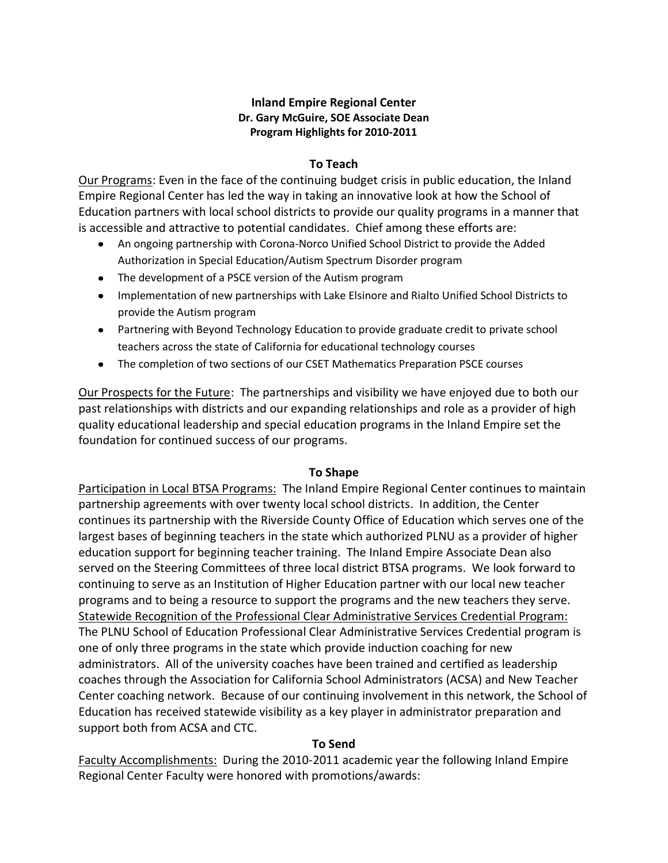#### **Inland Empire Regional Center Dr. Gary McGuire, SOE Associate Dean Program Highlights for 2010-2011**

#### **To Teach**

Our Programs: Even in the face of the continuing budget crisis in public education, the Inland Empire Regional Center has led the way in taking an innovative look at how the School of Education partners with local school districts to provide our quality programs in a manner that is accessible and attractive to potential candidates. Chief among these efforts are:

- An ongoing partnership with Corona-Norco Unified School District to provide the Added Authorization in Special Education/Autism Spectrum Disorder program
- The development of a PSCE version of the Autism program
- Implementation of new partnerships with Lake Elsinore and Rialto Unified School Districts to provide the Autism program
- Partnering with Beyond Technology Education to provide graduate credit to private school teachers across the state of California for educational technology courses
- The completion of two sections of our CSET Mathematics Preparation PSCE courses

Our Prospects for the Future: The partnerships and visibility we have enjoyed due to both our past relationships with districts and our expanding relationships and role as a provider of high quality educational leadership and special education programs in the Inland Empire set the foundation for continued success of our programs.

### **To Shape**

Participation in Local BTSA Programs: The Inland Empire Regional Center continues to maintain partnership agreements with over twenty local school districts. In addition, the Center continues its partnership with the Riverside County Office of Education which serves one of the largest bases of beginning teachers in the state which authorized PLNU as a provider of higher education support for beginning teacher training. The Inland Empire Associate Dean also served on the Steering Committees of three local district BTSA programs. We look forward to continuing to serve as an Institution of Higher Education partner with our local new teacher programs and to being a resource to support the programs and the new teachers they serve. Statewide Recognition of the Professional Clear Administrative Services Credential Program: The PLNU School of Education Professional Clear Administrative Services Credential program is one of only three programs in the state which provide induction coaching for new administrators. All of the university coaches have been trained and certified as leadership coaches through the Association for California School Administrators (ACSA) and New Teacher Center coaching network. Because of our continuing involvement in this network, the School of Education has received statewide visibility as a key player in administrator preparation and support both from ACSA and CTC.

### **To Send**

Faculty Accomplishments: During the 2010-2011 academic year the following Inland Empire Regional Center Faculty were honored with promotions/awards: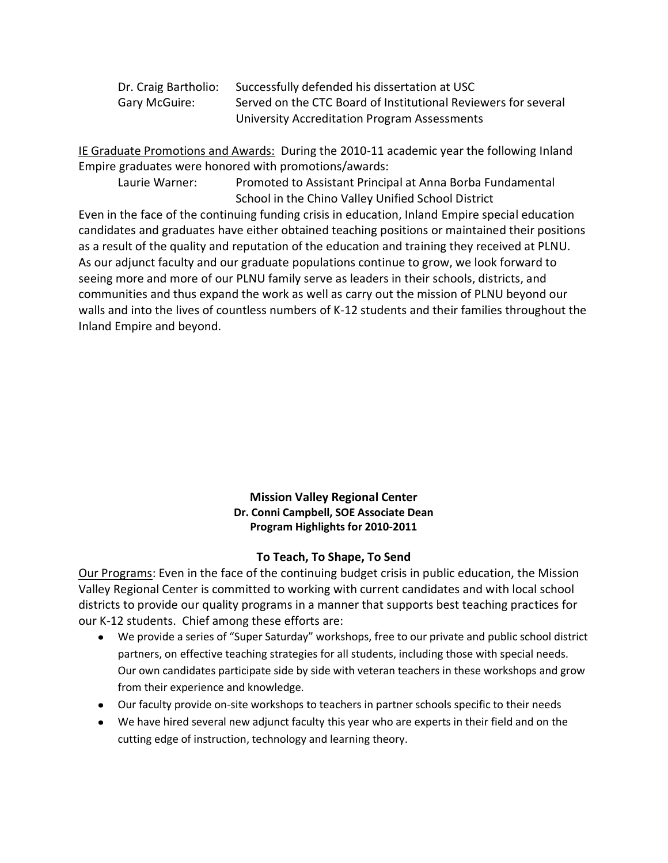| Dr. Craig Bartholio: | Successfully defended his dissertation at USC                  |
|----------------------|----------------------------------------------------------------|
| Gary McGuire:        | Served on the CTC Board of Institutional Reviewers for several |
|                      | University Accreditation Program Assessments                   |

IE Graduate Promotions and Awards: During the 2010-11 academic year the following Inland Empire graduates were honored with promotions/awards:

Laurie Warner: Promoted to Assistant Principal at Anna Borba Fundamental School in the Chino Valley Unified School District

Even in the face of the continuing funding crisis in education, Inland Empire special education candidates and graduates have either obtained teaching positions or maintained their positions as a result of the quality and reputation of the education and training they received at PLNU. As our adjunct faculty and our graduate populations continue to grow, we look forward to seeing more and more of our PLNU family serve as leaders in their schools, districts, and communities and thus expand the work as well as carry out the mission of PLNU beyond our walls and into the lives of countless numbers of K-12 students and their families throughout the Inland Empire and beyond.

#### **Mission Valley Regional Center Dr. Conni Campbell, SOE Associate Dean Program Highlights for 2010-2011**

### **To Teach, To Shape, To Send**

Our Programs: Even in the face of the continuing budget crisis in public education, the Mission Valley Regional Center is committed to working with current candidates and with local school districts to provide our quality programs in a manner that supports best teaching practices for our K-12 students. Chief among these efforts are:

- We provide a series of "Super Saturday" workshops, free to our private and public school district partners, on effective teaching strategies for all students, including those with special needs. Our own candidates participate side by side with veteran teachers in these workshops and grow from their experience and knowledge.
- Our faculty provide on-site workshops to teachers in partner schools specific to their needs
- We have hired several new adjunct faculty this year who are experts in their field and on the cutting edge of instruction, technology and learning theory.